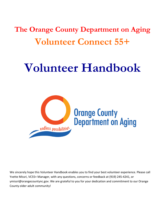**The Orange County Department on Aging Volunteer Connect 55+**

# **Volunteer Handbook**



We sincerely hope this Volunteer Handbook enables you to find your best volunteer experience. Please call Yvette Missri, VC55+ Manager, with any questions, concerns or feedback at (919) 245-4241, or ymissri@orangecountync.gov. We are grateful to you for your dedication and commitment to our Orange County older adult community!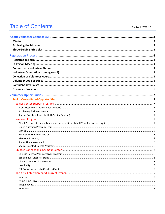# **Table of Contents**

Revised 7/27/17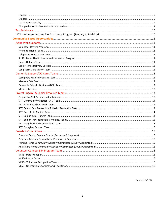Revised 5/1/17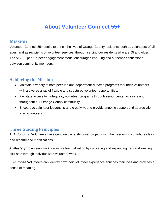# **Mission**

Volunteer Connect 55+ seeks to enrich the lives of Orange County residents, both as volunteers of all ages, and as recipients of volunteer services, through serving our residents who are 55 and older. The VC55+ peer-to-peer engagement model encourages enduring and authentic connections between community members.

# **Achieving the Mission**

- Maintain a variety of both peer-led and department-directed programs to furnish volunteers with a diverse array of flexible and structured volunteer opportunities.
- Facilitate access to high-quality volunteer programs through senior center locations and throughout our Orange County community.
- Encourage volunteer leadership and creativity, and provide ongoing support and appreciation to all volunteers.

# **Three Guiding Principles**

**1.** *Autonomy:* Volunteers have genuine ownership over projects with the freedom to contribute ideas and recommend modifications.

**2.** *Mastery* Volunteers work toward self-actualization by cultivating and expanding new and existing skill-sets through individualized volunteer work.

**3.** *Purpose* Volunteers can identify how their volunteer experience enriches their lives and provides a sense of meaning.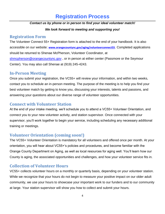# **Registration Process**

## *Contact us by phone or in person to find your ideal volunteer match!*

# *We look forward to meeting and supporting you!*

# **Registration Form**

The Volunteer Connect 55+ Registration form is attached to the end of your handbook. It is also accessible on our website: **[www.orangecountync.gov/aging/volunteerconnect55](http://www.orangecountync.gov/aging/volunteerconnect55)**. Completed applications should be returned to Shenae McPherson, Volunteer Coordinator, at [shmcpherson@orangecountync.gov](mailto:shmcpherson@orangecountync.gov) , or in person at either center (Passmore or the Seymour Center). You may also call Shenae at (919) 245-4243.

# **In-Person Meeting**

Once you submit your registration, the VC55+ will review your information, and within two weeks, contact you to schedule an in-person meeting. The purpose of the meeting is to help you find your best volunteer match by getting to know you, discussing your interests, talents and passions, and answering your questions about our diverse range of volunteer opportunities.

# **Connect with Volunteer Station**

At the end of your intake meeting, we'll schedule you to attend a VC55+ Volunteer Orientation, and connect you to your new volunteer activity, and station supervisor. Once connected with your supervisor, you'll work together to begin your service, including scheduling any necessary additional training or meetings.

# **Volunteer Orientation (coming soon!)**

The VC55+ Volunteer Orientation is mandatory for all volunteers and offered once per month. At your orientation, you will hear about VC55+'s policies and procedures, and become familiar with the Orange County Department on Aging, as well as local resources for aging well. You'll learn how our County is aging, the associated opportunities and challenges, and how your volunteer service fits in.

# **Collection of Volunteer Hours**

VC55+ collects volunteer hours on a monthly or quarterly basis, depending on your volunteer station. While we recognize that your hours do not begin to measure your positive impact on our older adult community, we use your hours to showcase your important work to our funders and to our community at large. Your station supervisor will show you how to collect and submit your hours.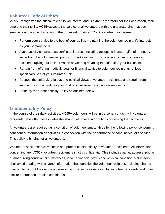# **Volunteer Code of Ethics**

VC55+ recognizes the critical role of its volunteers, and is extremely grateful for their dedication, their time and their skills. VC55+accepts the service of all volunteers with the understanding that such service is at the sole discretion of the organization. As a VC55+ volunteer, you agree to:

- Perform your service to the best of your ability, maintaining the volunteer recipient's interests as your primary focus.
- Avoid activity construed as conflict of interest, including accepting loans or gifts of monetary value from the volunteer recipients, or marketing your business in any way to volunteer recipients (giving out its information or wearing anything that identifies your business).
- Refrain from offering medical, legal, or financial advice to volunteer recipients, unless specifically part of your volunteer role.
- Respect the cultural, religious and political views of volunteer recipients, and refrain from imposing your cultural, religious and political views on volunteer recipients.
- Abide by the Confidentiality Policy as outlined below.

# **Confidentiality Policy**

In the course of their daily activities, VC55+ volunteers will be in personal contact with volunteer recipients. This often necessitates the sharing of private information concerning the recipients.

All volunteers are required, as a condition of volunteerism, to abide by the following policy concerning confidential information or activities in connection with the performance of each individual's service. This policy is binding for all volunteers:

Volunteers shall observe, maintain and protect confidentiality of volunteer recipients. All information concerning any VC55+ volunteer recipient is strictly confidential. This includes name, address, phone number, living condition/circumstances, income/financial status and physical condition. Volunteers shall avoid sharing with anyone, information that identifies the volunteer recipient, including sharing their photo without their express permission. The services received by volunteer recipients and other similar information are also confidential.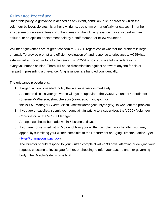# **Grievance Procedure**

Under this policy, a grievance is defined as any event, condition, rule, or practice which the volunteer believes violates his or her civil rights, treats him or her unfairly, or causes him or her any degree of unpleasantness or unhappiness on the job. A grievance may also deal with an attitude, or an opinion or statement held by a staff member or fellow volunteer.

Volunteer grievances are of great concern to VC55+, regardless of whether the problem is large or small. To provide prompt and efficient evaluation of, and response to grievances, VC55+has established a procedure for all volunteers. It is VC55+'s policy to give full consideration to every volunteer's opinion. There will be no discrimination against or toward anyone for his or her part in presenting a grievance. All grievances are handled confidentially.

The grievance procedure is:

- 1. If urgent action is needed, notify the site supervisor immediately.
- 2. Attempt to discuss your grievance with your supervisor, the VC55+ Volunteer Coordinator (Shenae McPherson, shmcpherson@orangecountync.gov), or the VC55+ Manager (Yvette Missri, ymissri@orangecountync.gov), to work out the problem.
- 3. If you are unsatisfied, submit your complaint in writing to a supervisor, the VC55+ Volunteer Coordinator, or the VC55+ Manager.
- 4. A response should be made within 5 business days.
- 5. If you are not satisfied within 5 days of how your written complaint was handled, you may appeal by submitting your written complaint to the Department on Aging Director, Janice Tyler [\(jtyler@orangecountync.gov\)](mailto:jtyler@orangecountync.gov).
- 6. The Director should respond to your written complaint within 30 days, affirming or denying your request, choosing to investigate further, or choosing to refer your case to another governing body. The Director's decision is final.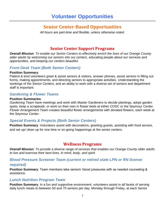# **Senior Center-Based Opportunities**

*All hours are part-time and flexible, unless otherwise noted.*

# **Senior Center Support Programs**

*Overall Mission: To enable our Senior Centers to effectively enrich the lives of our Orange County older adults by welcoming our seniors into our centers, educating people about our services and opportunities, and keeping our centers beautiful.* 

# *Front Desk Team (Both Senior Centers)*

#### **Position Summary**:

Patient & kind volunteers greet & assist seniors & visitors, answer phones, assist seniors in filling out forms, making appointments, and directing seniors to appropriate activities. Understanding the workings of the Senior Centers, and an ability to work with a diverse set of seniors and department staff is important.

# *Gardening & Flower Teams*

#### **Position Summaries**:

*Gardening Team* have meetings and work with Master Gardeners to decide plantings, adopt garden spots, keep a scrapbook, or work on their own in flower beds at either COSC or the Seymour Center. *Flower Arrangement Team* creates beautiful flower arrangements with donated flowers, each week at the Seymour Center.

# *Special Events & Projects (Both Senior Centers)*

**Position Summary**: Volunteers assist with decorations, greeting guests, assisting with food service, and set up/ clean up for one time or on-going happenings at the senior centers.

# **Wellness Programs**

*Overall Mission: To provide a diverse range of services that enables our Orange County older adults to live and exercise their best lives, in mind, body, and spirit.*

# *Blood Pressure Screener Team (current or retired state LPN or RN license required)*

**Position Summary**: Team members take seniors' blood pressures with as needed counseling & assistance.

# *Lunch Nutrition Program Team*

**Position Summary:** In a fun and supportive environment, volunteers assist in all facets of serving daily lunch meals to between 50 and 70 seniors per day, Monday through Friday, at each Senior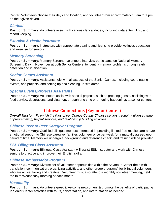Center. Volunteers choose their days and location, and volunteer from approximately 10 am to 1 pm, on their given day(s).

# *Clerical*

**Position Summary:** Volunteers assist with various clerical duties, including data entry, filing, and record keeping.

# *Exercise & Health Instructor*

**Position Summary**: Instructors with appropriate training and licensing provide wellness education and exercise for seniors.

# *Memory Screening*

**Position Summary**: Memory Screener volunteers interview participants on National Memory Screening Day in November at both Senior Centers, to identify memory problems through early detection and intervention.

# *Senior Games Assistant*

**Position Summary**: Assistants help with all aspects of the Senior Games, including coordinating events, and projects, and setting up and cleaning up site areas.

# *Special Events/Projects Assistants*

**Position Summary:** Volunteers assist with special projects, such as greeting guests, assisting with food service, decorations, and clean up, through one time or on-going happenings at senior centers.

# **Chinese Connections (Seymour Center)**

*Overall Mission: To enrich the lives of our Orange County Chinese seniors through a diverse range of programming, helpful services, and relationship building activities.* 

# *Chinese Peer to Peer Caregiver Program*

**Position Summary**: Qualified bilingual mentors interested in providing limited free respite care and/or emotional support to Chinese caregiver families volunteer once per week for a mutually agreed upon period of time. Mentors will undergo a background and reference check, and training will be provided.

# *ESL Bilingual Class Assistant*

**Position Summary:** Bilingual Class Assistant will assist ESL instructor and work with Chinese seniors to practice and improve their English skills.

# *Chinese Ambassador Program*

**Position Summary**: Diverse set of volunteer opportunities within the Seymour Center (help with translation, communication, organizing activities, and other group programs) for bilingual volunteers who are active, loving and creative. Volunteer must also attend a monthly volunteer meeting, held the third Wednesday morning of each month.

# *Hospitality*

**Position Summary**: Volunteers greet & welcome newcomers & promote the benefits of participating in Senior Center activities with tours, conversation, and interpretation as needed.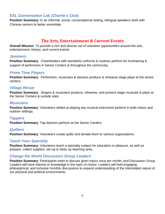# *ESL Conversation Lab (Charlie's Club)*

**Position Summary:** In an informal, social, conversational setting, bilingual speakers work with Chinese seniors to better assimilate.

# **The Arts, Entertainment & Current Events**

*Overall Mission: To provide a rich and diverse set of volunteer opportunities around the arts, entertainment, history, and current events.*

#### *Jammers*

**Position Summary**: Cheerleaders with wonderful uniforms & routines perform for fundraising & support of performers in Senior Centers & throughout the community.

## *Prime Time Players*

**Position Summary**: Performers, musicians & dancers produce & rehearse stage plays at the senior centers.

# *Village Revue*

**Position Summary**: Singers & musicians produce, rehearse, and present stage musicals & plays at the Senior Centers & outside sites.

# *Musicians*

**Position Summary**: Volunteers skilled at playing any musical instrument perform in both indoor and outdoor settings.

# *Tappers*

**Position Summary**: Tap dancers perform at the Senior Centers.

# *Quilters*

**Position Summary:** Volunteers create quilts and donate them to various organizations.

# *Teach Your Specialty*

**Position Summary**: Volunteers teach a specialty subject for education or pleasure, as well as prepare, collect supplies, set-up & clean up teaching area.

# *Change the World Discussion Group Leaders*

**Position Summary**: Participants meet to discuss given topics once per month, and Discussion Group Leaders will have interest or knowledge in the topic of choice. Leaders will hold engaging, philosophical, and inclusive monthly discussions to expand understanding of the interrelated nature of our physical and political environments.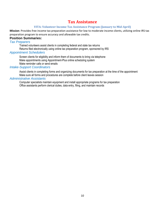# **Tax Assistance**

#### **VITA: Volunteer Income Tax Assistance Program (January to Mid-April)**

**Mission**: Provides free income tax preparation assistance for low to moderate income clients, utilizing online IRS tax preparation program to ensure accuracy and allowable tax credits.

#### **Position Summaries:**

#### *Tax Preparers*

Trained volunteers assist clients in completing federal and state tax returns

Returns filed electronically using online tax preparation program, sponsored by IRS

#### *Appointment Schedulers*

Screen clients for eligibility and inform them of documents to bring via telephone Make appointments using Appointment-Plus online scheduling system Make reminder calls or send emails

#### *Intake-Support Coordinators*

Assist clients in completing forms and organizing documents for tax preparation at the time of the appointment Make sure all forms and procedures are complete before client leaves session

#### *Administrative Assistants*

Computer specialists maintain equipment and install appropriate programs for tax preparation Office assistants perform clerical duties, data entry, filing, and maintain records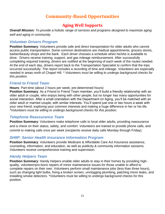# **Community-Based Opportunities**

# **Aging Well Supports**

*Overall Mission: To provide a holistic range of services and programs designed to maximize aging well and aging in community.*

# *Volunteer Drivers Program*

**Position Summary**: Volunteers provide safe and direct transportation for older adults who cannot access public transportation. Some common destinations are medical appointments, grocery stores, barber/beauty shops and the bank. Each driver chooses a schedule when he/she is available to drive. Drivers receive training, support, and gas mileage reimbursement. After successfully completing required training, drivers are notified at the beginning of each week of the routes needed. At the end of each day, drivers report back to the Transportation Specialist to confirm that the trips occurred successfully. The report includes a recording of time and mileage. Volunteers are especially needed in areas north of Chapel Hill. *\* Volunteers must be willing to undergo background checks for this position.*

# *Friend to Friend Team*

#### **Hours**: Part-time (about 2 hours per week; pre-determined hours)

**Position Summary**: As a Friend to Friend Team member, you'll build a friendly relationship with an older adult or couple, who enjoys being with other people, but no longer has many opportunities for social interaction. After a small orientation with the Department on Aging, you'll be matched with an older adult or married couple, with similar interests. You'll spend just one or two hours a week with your new friend, exploring your common interests and making a huge difference in her or his life. *\*Volunteers must be willing to undergo background checks for this position.*

# *Telephone Reassurance Team*

**Position Summary:** Volunteers make telephone calls to local older adults, providing reassurance and a check on their status, safety, and comfort. Volunteers are trained to provide phone calls, and commit to making calls once per week (recipients receive daily calls Monday through Friday).

# *SHIIP: Senior Health Insurance Information Program*

**Position Summary**: Volunteers provide Medicare & Affordable Care Act Insurance assistance, counseling, information, and education, as well as publicity & community information sessions. Volunteers receive comprehensive training and supervision.

# *Handy Helpers Team*

**Position Summary**: Handy Helpers enable older adults to stay in their homes by providing highquality, volunteer/pro-bono repairs of minor maintenance issues for those unable to afford to complete repairs on their own. Volunteers perform small maintenance jobs (less than three hours), such as changing light bulbs, fixing a broken screen, unclogging plumbing, patching minor leaks, and installing smoke detectors. \*Volunteers must be willing to undergo background checks for this position.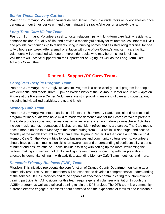# *Senior Times Delivery Carriers*

**Position Summary**: Volunteer carriers deliver Senior Times to outside racks or indoor shelves once per quarter (four times per year), and then maintain their racks/shelves on a weekly basis.

# *Long-Term Care Visitor Team*

**Position Summary:** Volunteers seek to foster relationships with long-term care facility residents to enhance residents' quality of life, and provide a meaningful activity for volunteers. Volunteers will visit and provide companionship to residents living in nursing homes and assisted living facilities, for one to two hours per week. After a small orientation with one of our County's long-term care facility, volunteers will be matched with one or more older adults who may be at-risk for loneliness. Volunteers will receive support from the Department on Aging, as well as the Long-Term Care Advisory Committee.

# **Dementia Support/OC Cares Teams**

#### *Caregivers Respite Program Team*

**Position Summary:** The Caregivers Respite Program is a once-weekly social program for people with dementia, and meets 10am - 3pm on Wednesdays at the Seymour Center and 11am – 4pm on Fridays at the Passmore Center. Volunteers assist in providing meaningful care and socialization, including individualized activities, crafts and lunch.

## *Memory Café Team*

**Position Summary**: Volunteers assist in all facets of The Memory Café, a social and recreational program for individuals who have mild to moderate dementia and for their caregivers/care partners. The Cafe provides social and recreational activities in a relaxed normalizing atmosphere. Activities include music, games, recreation, chit chat, art, etc. Light refreshments are served. The Cafe meets once a month on the third Monday of the month during from 2 – 4 pm in Hillsborough, and second Monday of the month from 1:30 – 3:30 pm at the Seymour Center. Further, once a month we hold Memory Café On the Move – trips to local businesses and community cultural events. Volunteers should have good communication skills, an awareness and understanding of confidentiality, a sense of humor and positive attitude. Tasks include assisting with setting up the room, welcoming the visitors, making and serving hot drinks and light refreshments, socializing with people with and affected by dementia, joining in with activities, attending Memory Café Team meetings, and more.

# *Dementia Friendly Business (DBF) Team*

**Mission**: This initiative represents the core function of Orange County Department on Aging as a community resource. All team members will be expected to develop a comprehensive understanding of the services OCDoA provides and to be capable of effectively communicating this information to training participants. All positions for this team require general volunteer orientation through the VC55+ program as well as a tailored training to join the DFB project. The DFB team is a community outreach effort to engage businesses about dementia and the experience of families and individuals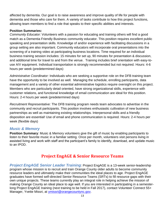affected by dementia. Our goal is to raise awareness and improve quality of life for people with dementia and those who care for them. A variety of tasks contribute to how this project functions, allowing team members to find a role that speaks to their specific abilities and interests.

#### **Position Summaries:**

*Community Educator:* Volunteers with a passion for educating and training others will find a good match as a Dementia Friendly Business community educator. This position requires excellent public speaking and presentation skills. Knowledge of and/or experience with facilitating discussions in a group setting are also important. Community educators will incorporate oral presentations into the screening of a training video at participating business locations. Time required for an individual business training session includes: 15 minutes for set up, 90 minutes for presentation & discussion, and additional time for travel to and from the venue. Training includes brief orientation with easy-touse A/V equipment. Individual transportation is strongly recommended but not required. Hours: 4-6 hours per week (predetermined days)

*Administrative Coordinator:* Individuals who are seeking a supportive role on the DFB training team have the opportunity to be involved as well. Managing the schedule, enrolling participants, data management and a variety of other essential administrative logistics require oversight on this project. Members who are particularly detail oriented, have strong organizational skills, experience with customer relations, and functional knowledge of email communication are ideal for this position. Hours: 2-4 hours per week (predetermined days)

*Recruitment Representative:* The DFB training program needs team advocates to advertise in the community and recruit participants. This position involves enthusiastic cultivation of new business partnerships as well as maintaining existing relationships. Interpersonal skills and a friendly disposition are essential! Use of email and phone communication is required. Hours: 2-4 hours per week (flexible days)

# *Music & Memory*

**Position Summary:** Music & Memory volunteers give the gift of music by enabling participants to listen to their favorite music in a familiar setting. Once per month, volunteers visit persons living in assisted living and work with staff and the participant's family to identify, download, and update music to an IPOD.

# **Project EngAGE & Senior Resource Teams**

*Project EngAGE Senior Leader Training*: Project EngAGE is a 13-week senior-leadership program whose mission is to recruit and train Orange County older adults to become community resource leaders and ultimately make their communities the ideal places to age. Project EngAGE graduates have formed self-directed Senior Resource Teams (SRTs) to fill resource gaps with their own unique projects. These teams currently play an integral role in helping achieve the mission of making Orange County an ideal place to age well. If you are interested in participating in a semesterlong Project EngAGE training (next training to be held in Fall 2017), contact Volunteer Connect 55+ Manager, Yvette Missri, at [ymissri@orangecountync.gov.](mailto:ymissri@orangecountync.gov)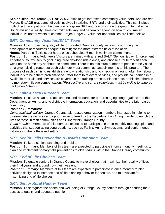**Senior Resource Teams (SRTs)**: VC55+ aims to get interested community volunteers, who are *not* Project EngAGE graduates, directly involved in existing SRTs and their activities. This can include both direct participation in the direction of a given SRT and/or working on the ground to make the SRT's mission a reality. Time commitments vary and generally depend on how much time an individual volunteer wants to commit. Project EngAGE volunteer opportunities are listed below:

# *SRT: Community Visitation/SALT Team*

**Mission**: To improve the quality of life for isolated Orange County seniors by nurturing the development of resources adequate to mitigate the more extreme risks of isolation. **Hours**: Part-time (flexible, set hours once scheduled, 6 month minimum commitment) **Position Summary:** Volunteers Visitors are trained with a retired SALT (Seniors & Law Enforcement Together) County Deputy (including three day-long ride-alongs) and choose a route to visit each week on the same day at about the same time. There is no minimum number of people to be visited on a given visiting route, but each volunteer must commit at least six months to this program. The purpose of each visit is to establish a friendly relationship and to check-in on aging, often homebound individuals to help them problem-solve, refer them to relevant services, and provide companionship. Available referrals and services are covered in the training process. Please note, at this time there is no monetary mileage compensation. *\*Prospective and current volunteers must be willing to undergo background checks.*

# *SRT: Faith-Based Outreach Team*

**Mission**: To serve as an outreach channel and resource for our area aging congregations and the Department on Aging, and to distribute information, education, and opportunities to the faith-based community.

#### **Position Summaries:**

*Congregational Liaison:* Orange County faith-based organization members interested in helping to disseminate the services and opportunities offered by the Department on Aging in order to enrich the lives of those in faith communities and living within Orange County.

*Team Member:* Members of this team are expected to participate in once-monthly meetings plan and activities that support aging congregations, such as Faith & Aging Symposiums, and senior hunger initiatives in the faith-based setting.

# *SRT: Senior Falls Prevention & Health Promotion Team*

**Mission**: To keep seniors standing and mobile.

**Position Summary:** Members of this team are expected to participate in once-monthly meetings to plan and implement primary falls preventions to older adults within the Orange County community.

# *SRT: End of Life Choices Team*

**Mission**: To enable seniors in Orange County to make choices that maximize their quality of lives in their final years and around how their lives end.

**Position Summary:** Members of this team are expected to participate in once-monthly to plan activities designed to increase end of life planning behavior for seniors, and to advocate for maximizing end of life choices.

# *SRT: Senior Rural Hunger Team*

**Mission**: To safeguard the health and well-being of Orange County seniors through ensuring their access to quality and adequate nutrition.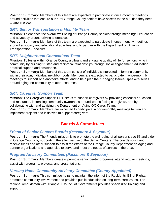**Position Summary:** Members of this team are expected to participate in once-monthly meetings around activities that ensure our rural Orange County seniors have access to the nutrition they need to age in place.

# *SRT: Senior Transportation & Mobility Team*

**Mission**: To enhance the overall well-being of Orange County seniors through meaningful education and advocacy around driving alternatives

**Position Summary:** Members of this team are expected to participate in once-monthly meetings around advocacy and educational activities, and to partner with the Department on Aging's Transportation Specialist.

# *SRT: Neighborhood Connections Team*

**Mission**: To foster within Orange County a vibrant and engaging quality of life for seniors living in community by building trusted and reciprocal relationships through social engagement, education, practical support and assistance.

**Position Summary:** Members of this team consist of individuals interested in forming community within their own, individual neighborhoods. Members are expected to participate in once-monthly meetings to support one another's efforts, and to help plan the "Engaging Issues" speakers series around aging-inn-community related resources.

# *SRT: Caregiver Support Team*

**Mission**: The Caregiver Support SRT seeks to support caregivers by providing essential education and resources, increasing community awareness around issues facing caregivers, and by collaborating with and advising the Department on Aging OC Cares Team.

**Position Summary:** Members are expected to participate in once-monthly meetings to plan and implement projects and initiatives to support caregivers.

# **Boards & Committees**

# *Friend of Senior Centers Boards (Passmore & Seymour)*

**Position Summary:** The Friends mission is to promote the well-being of all persons age 55 and older in Orange County by supporting the effective use of the Senior Centers. The boards solicit and receive funds and other support to assist the efforts of the Orange County Department on Aging and partner organizations and agencies to serve and meet the needs of seniors in the area.

# *Program Advisory Committees (Passmore & Seymour)*

**Position Summary:** Members create & promote senior center programs, attend regular meetings, assist with programs, projects, and presentations.

# *Nursing Home Community Advisory Committee (County Appointed)*

**Position Summary:** This committee helps to maintain the intent of the Residents' Bill of Rights, promotes community involvement and provides public education on long-term care issues. The regional ombudsman with Triangle J Council of Governments provides specialized training and support.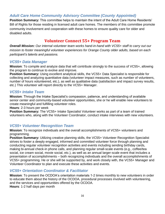# *Adult Care Home Community Advisory Committee (County Appointed)*

**Position Summary:** This committee helps to maintain the intent of the Adult Care Home Residents' Bill of Rights for those residing in licensed adult care homes. The members of this committee promote community involvement and cooperation with these homes to ensure quality care for older and disabled adults.

# **Volunteer Connect 55+ Program Team**

*Overall Mission: Our internal volunteer team works hand-in-hand with VC55+ staff to carry out our mission to foster meaningful volunteer experiences for Orange County older adults, based on each participant's talents and passions.*

## *VC55+ Data Manager*

**Mission**: To compile and analyze data that will contribute strongly to the success of VC55+, allowing the program to continue to evolve and improve.

**Position Summary:** Using excellent analytical skills, the VC55+ Data Specialist is responsible for collecting and analyzing quantitative data (volunteer impact measures, such as number of volunteers, number of hours volunteered, etc.), as well as qualitative data (satisfaction and impact survey results, etc.) This volunteer will report directly to the VC55+ Manager.

# *VC55+ Intake Team*

**Mission**: Through the Intake Specialist's compassion, patience, and understanding of available senior center and community-based volunteer opportunities, she or he will enable new volunteers to create meaningful and fulfilling volunteer roles.

**Hours**: 2-3 hours per week

**Position Summary:** The VC55+ Intake Specialist Volunteer works as part of a team of trained volunteers who, along with the Volunteer Coordinator, conduct intake interviews with new volunteers.

# *VC55+ Volunteer Recognition Team*

**Mission**: To recognize individuals and the overall accomplishments of VC55+ volunteers and programming.

**Position Summary:** Utilizing creative planning skills, the VC55+ Volunteer Recognition Specialist strives to foster a deeply engaged, informed and committed volunteer force through planning and conducting regular volunteer recognition activities and events including sending birthday cards, making bi-annual check-in phone calls, and planning regular small-scale events (e.g., coffee/tea social, ice cream social, movie social, etc.), as well as an annual larger-scale event that includes a presentation of accomplishments – both recognizing individuals and the overall accomplishments of VC55+ programming. He or she will be supported by, and work closely with, the VC55+ Manager and Volunteer Coordinator to plan and execute these activities and events.

# *VC55+ Orientation Coordinator & Facilitator*

**Mission**: To present the OCDOA's orientation materials 1-2 times monthly to new volunteers in order to educate them about the history of the OCDOA, procedural processes involved with volunteering, and the services and opportunities offered by the OCDOA. **Hours**: 1-2 half days per month